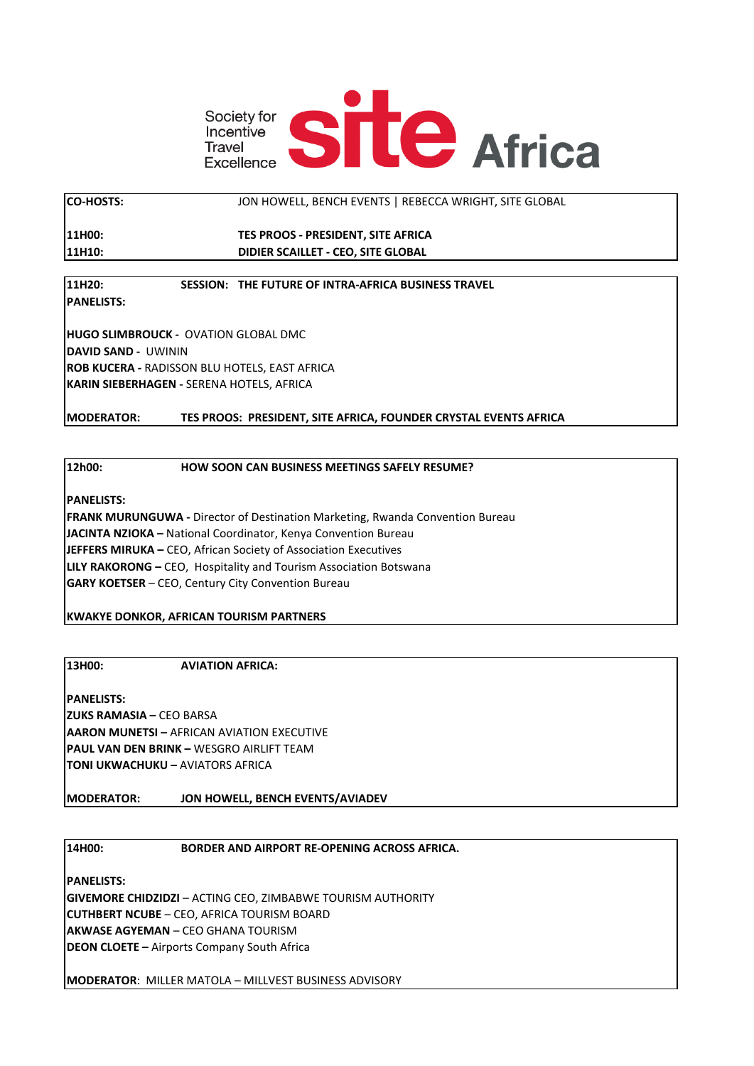

**CO-HOSTS:** JON HOWELL, BENCH EVENTS | REBECCA WRIGHT, SITE GLOBAL

**11H00: TES PROOS - PRESIDENT, SITE AFRICA 11H10: DIDIER SCAILLET - CEO, SITE GLOBAL**

## **11H20: SESSION: THE FUTURE OF INTRA-AFRICA BUSINESS TRAVEL**

**PANELISTS:**

**HUGO SLIMBROUCK -** OVATION GLOBAL DMC **DAVID SAND -** UWININ **ROB KUCERA -** RADISSON BLU HOTELS, EAST AFRICA **KARIN SIEBERHAGEN -** SERENA HOTELS, AFRICA

**MODERATOR: TES PROOS: PRESIDENT, SITE AFRICA, FOUNDER CRYSTAL EVENTS AFRICA**

## **12h00: HOW SOON CAN BUSINESS MEETINGS SAFELY RESUME?**

**PANELISTS:**

**FRANK MURUNGUWA -** Director of Destination Marketing, Rwanda Convention Bureau **JACINTA NZIOKA –** National Coordinator, Kenya Convention Bureau **JEFFERS MIRUKA –** CEO, African Society of Association Executives **LILY RAKORONG –** CEO, Hospitality and Tourism Association Botswana **GARY KOETSER** – CEO, Century City Convention Bureau

**KWAKYE DONKOR, AFRICAN TOURISM PARTNERS**

**13H00: AVIATION AFRICA:** 

**PANELISTS: ZUKS RAMASIA –** CEO BARSA **AARON MUNETSI –** AFRICAN AVIATION EXECUTIVE **PAUL VAN DEN BRINK –** WESGRO AIRLIFT TEAM **TONI UKWACHUKU –** AVIATORS AFRICA

**MODERATOR: JON HOWELL, BENCH EVENTS/AVIADEV**

## **14H00: BORDER AND AIRPORT RE-OPENING ACROSS AFRICA.**

**PANELISTS: GIVEMORE CHIDZIDZI** – ACTING CEO, ZIMBABWE TOURISM AUTHORITY **CUTHBERT NCUBE** – CEO, AFRICA TOURISM BOARD **AKWASE AGYEMAN** – CEO GHANA TOURISM **DEON CLOETE –** Airports Company South Africa

**MODERATOR**: MILLER MATOLA – MILLVEST BUSINESS ADVISORY